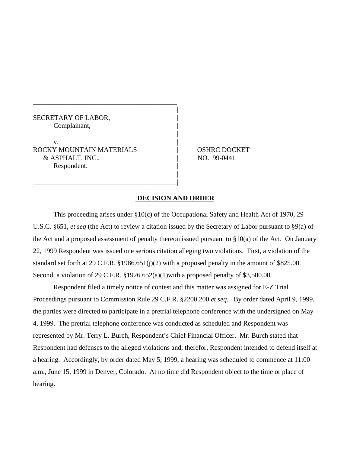## SECRETARY OF LABOR, Complainant, |

 $\mathbf{v}$ . ROCKY MOUNTAIN MATERIALS  $\qquad \qquad |$  OSHRC DOCKET & ASPHALT, INC., NO. 99-0441 Respondent.

\_\_\_\_\_\_\_\_\_\_\_\_\_\_\_\_\_\_\_\_\_\_\_\_\_\_\_\_\_\_\_\_\_\_\_\_\_\_\_\_\_\_

\_\_\_\_\_\_\_\_\_\_\_\_\_\_\_\_\_\_\_\_\_\_\_\_\_\_\_\_\_\_\_\_\_\_\_\_\_\_\_\_\_\_|

## **DECISION AND ORDER**

|

|

|

This proceeding arises under §10(c) of the Occupational Safety and Health Act of 1970, 29 U.S.C. §651, *et seq* (the Act) to review a citation issued by the Secretary of Labor pursuant to §9(a) of the Act and a proposed assessment of penalty thereon issued pursuant to §10(a) of the Act. On January 22, 1999 Respondent was issued one serious citation alleging two violations. First, a violation of the standard set forth at 29 C.F.R. §1986.651(j)(2) with a proposed penalty in the amount of \$825.00. Second, a violation of 29 C.F.R. §1926.652(a)(1)with a proposed penalty of \$3,500.00.

Respondent filed a timely notice of contest and this matter was assigned for E-Z Trial Proceedings pursuant to Commission Rule 29 C.F.R. §2200.200 *et seq.* By order dated April 9, 1999, the parties were directed to participate in a pretrial telephone conference with the undersigned on May 4, 1999. The pretrial telephone conference was conducted as scheduled and Respondent was represented by Mr. Terry L. Burch, Respondent's Chief Financial Officer. Mr. Burch stated that Respondent had defenses to the alleged violations and, therefor, Respondent intended to defend itself at a hearing. Accordingly, by order dated May 5, 1999, a hearing was scheduled to commence at 11:00 a.m., June 15, 1999 in Denver, Colorado. At no time did Respondent object to the time or place of hearing.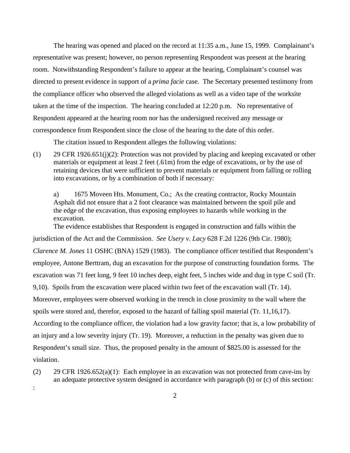The hearing was opened and placed on the record at 11:35 a.m., June 15, 1999. Complainant's representative was present; however, no person representing Respondent was present at the hearing room. Notwithstanding Respondent's failure to appear at the hearing, Complainant's counsel was directed to present evidence in support of a *prima facie* case. The Secretary presented testimony from the compliance officer who observed the alleged violations as well as a video tape of the worksite taken at the time of the inspection. The hearing concluded at 12:20 p.m. No representative of Respondent appeared at the hearing room nor has the undersigned received any message or correspondence from Respondent since the close of the hearing to the date of this order.

The citation issued to Respondent alleges the following violations:

(1) 29 CFR 1926.651(j)(2): Protection was not provided by placing and keeping excavated or other materials or equipment at least 2 feet (.61m) from the edge of excavations, or by the use of retaining devices that were sufficient to prevent materials or equipment from falling or rolling into excavations, or by a combination of both if necessary:

a) 1675 Moveen Hts. Monument, Co.; As the creating contractor, Rocky Mountain Asphalt did not ensure that a 2 foot clearance was maintained between the spoil pile and the edge of the excavation, thus exposing employees to hazards while working in the excavation.

The evidence establishes that Respondent is engaged in construction and falls within the jurisdiction of the Act and the Commission. *See Usery v. Lacy* 628 F.2d 1226 (9th Cir. 1980); *Clarence M. Jones* 11 OSHC (BNA) 1529 (1983). The compliance officer testified that Respondent's employee, Antone Berttram, dug an excavation for the purpose of constructing foundation forms. The excavation was 71 feet long, 9 feet 10 inches deep, eight feet, 5 inches wide and dug in type C soil (Tr. 9,10). Spoils from the excavation were placed within two feet of the excavation wall (Tr. 14). Moreover, employees were observed working in the trench in close proximity to the wall where the spoils were stored and, therefor, exposed to the hazard of falling spoil material (Tr. 11,16,17). According to the compliance officer, the violation had a low gravity factor; that is, a low probability of an injury and a low severity injury (Tr. 19). Moreover, a reduction in the penalty was given due to Respondent's small size. Thus, the proposed penalty in the amount of \$825.00 is assessed for the violation.

(2) 29 CFR 1926.652(a)(1): Each employee in an excavation was not protected from cave-ins by an adequate protective system designed in accordance with paragraph (b) or (c) of this section:

:

2